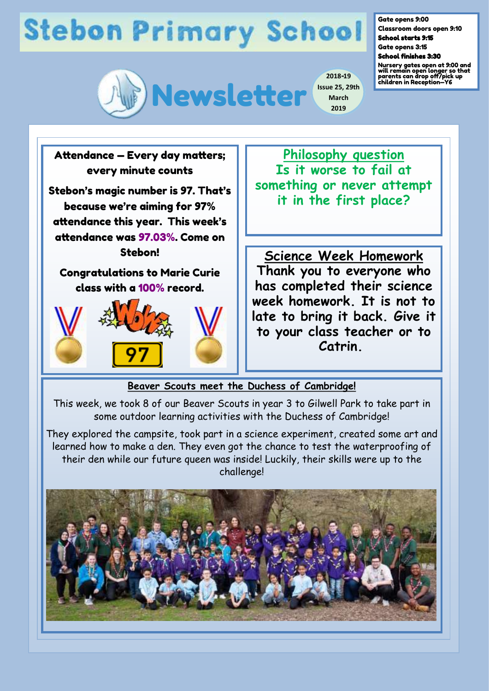## **Stebon Primary School**



**2018-19 Issue 25, 29th March 2019**

Gate opens 9:00

Classroom doors open 9:10 School starts 9:15

Gate opens 3:15

School finishes 3:30

Nursery gates open at 9:00 and will remain open longer so that parents can drop off/pick up children in Reception—Y6



## **Beaver Scouts meet the Duchess of Cambridge!**

This week, we took 8 of our Beaver Scouts in year 3 to Gilwell Park to take part in some outdoor learning activities with the Duchess of Cambridge!

They explored the campsite, took part in a science experiment, created some art and learned how to make a den. They even got the chance to test the waterproofing of their den while our future queen was inside! Luckily, their skills were up to the challenge!